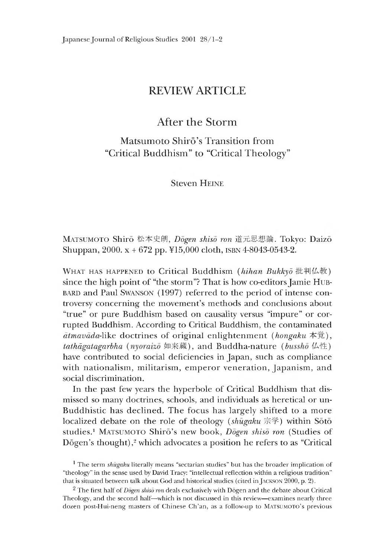# REVIEW ARTICLE

# After the Storm

Matsumoto Shirō's Transition from "Critical Buddhism" to "Critical Theology"

**Steven HEINE** 

Matsumoto Shiro 松本史朗*,Dogen shiso ron* 道元思想論. Tokyo: Daizo Shuppan, 2000. x + 672 pp. ¥15,000 cloth, isbn 4-8043-0543-2.

WHAT HAS HAPPENED to Critical Buddhism *(hihan Bukkyō* 批判仏教) since the hieh point of "the storm"? That is how co-editors Jamie Hubbard and Paul Swanson (1997) referred to the period of intense controversy concerning the movement's methods and conclusions about "true" or pure Buddhism based on causality versus "impure" or corrupted Buddhism. According to Critical Buddhism, the contaminated *dtmavada-like* doctrines of original enlightenment *(hongaku* 本覚), tathagatagarbha (nyoraizo 如来蔵), and Buddha-nature (bussho 仏性) have contributed to social deficiencies in Japan, such as compliance with nationalism, militarism, emperor veneration, Japanism, and social discrimination.

In the past few years the hyperbole of Critical Buddhism that dismissed so many doctrines, schools, and individuals as heretical or un-Buddhistic has declined. The focus has largely shifted to a more localized debate on the role of theology *(shugaku* 宗学) within Soto studies.<sup>1</sup> MATSUMOTO Shirō's new book, *Dogen shiso ron* (Studies of Dōgen's thought), $2$  which advocates a position he refers to as "Critical

<sup>1</sup> The term *shugaku* literally means "sectarian studies" but has the broader implication of "theology" in the sense used by David Tracy: "intellectual reflection within a religious tradition" that is situated between talk about God and historical studies (cited in JACKSON 2000, p. 2).

<sup>2</sup> The first half of *Dogen shiso ron* deals exclusively with Dogen and the debate about Critical Theology, and the second half—which is not discussed in this review—examines nearly three dozen post-Hui-neng masters of Chinese Ch'an, as a follow-up to MATSUMOTO's previous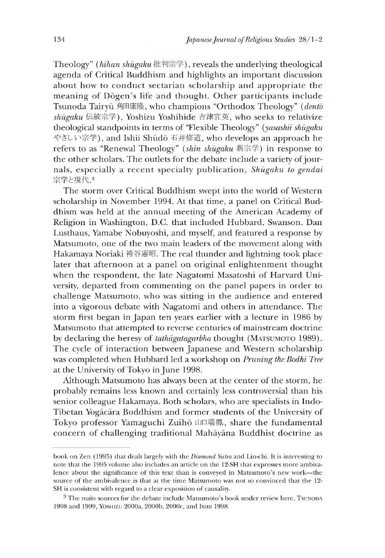Theology" *(hihan shugaku* 批判宗学), reveals the underlying theological agenda of Critical Buddhism and highlights an important discussion about how to conduct sectarian scholarship and appropriate the meaning of Dōgen's life and thought. Other participants include Tsunoda Tairyu 角田康隆,who champions "Orthodox Theology" *(dento shumku* ホ充宗学),Yoshizu Yoshinide 吉津宜英,who seeks to relativize theological standpoints in terms of "Flexiole Theology" *(yasashu shugaku* やさしい宗学), and Ishii Shūdō 石井修道, who develops an approach he refers to as "Renewal Theology" *(shin shugaku* 新宗学) in response to the other scholars. The outlets for the debate include a variety of journals, especially a recent specialty publication, *Shugaku to gendai* 宗学と現代.3

The storm over Critical Buddhism swept into the world of Western scholarship in November 1994. At that time, a panel on Critical Buddhism was held at the annual meeting of the American Academy of Relieion in Washington, D.C. that included Hubbard, Swanson, Dan Lusthaus, Yamabe Nobuyoshi, and myself, and featured a response by Matsumoto, one of the two main leaders of the movement along with Hakamaya Noriaki 袴谷恿昭. Ihe real thunder and lightning took place later that afternoon at a panel on original enlightenment thought when the respondent, the late Nagatomi Masatoshi of Harvard University, departed from commenting on the panel papers in order to challenge Matsumoto, who was sitting in the audience and entered into a vigorous debate with Nagatomi and others in attendance. The storm first began in Japan ten years earlier with a lecture in 1986 by Matsumoto that attempted to reverse centuries of mainstream doctrine by declaring the heresy of *tathdgatagarbha* thought (Matsumoto 1989). The cycle of interaction between Japanese and Western scholarship was completed when Hubbard led a workshop on *Pruning the Bodhi Tree* at the Lniversity of Tokyo in June 1998.

Although Matsumoto has always been at the center of the storm, he probably remains less known and certainly less controversial than his senior colleague Hakamaya. Both scholars, who are specialists in Indo-Tibetan Yogacara Buddhism and former students of the University of Tokyo professor Yamaguchi Zuiho 山口瑞鳳, share the fundamental concern of challenging traditional Mahayana Buddhist doctrine as

book on Zen (1995) that dealt largely with the *Diamond Sutra* and Lin-chi. It is interesting to note that the 1995 volume also includes an article on the 12-SH that expresses more ambivalence about the significance of this text than is conveyed in Matsumoto's new work—the source of the ambivalence is that at the time Matsumoto was not so convinced that the 12- SH is consistent with regard to a clear exposition of causality.

 $3$  The main sources for the debate include Matsumoto's book under review here, Tsunopa 1998 and 1999, Yoshizu 2000a, 2000b, 2000c, and Ishii 1998.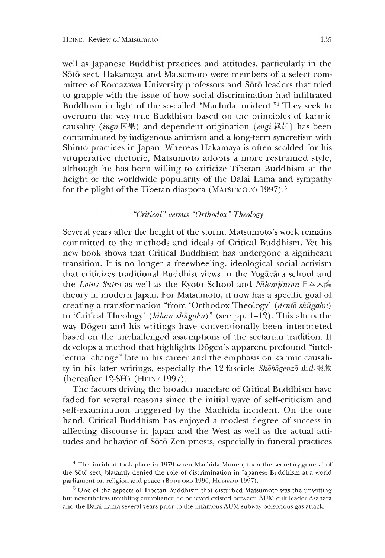well as Japanese Buddhist practices and attitudes, particularly in the Soto sect. Hakamaya and Matsumoto were members of a select committee of Komazawa University professors and Soto leaders that tried to grapple with the issue of how social discrimination had infiltrated Buddhism in light of the so-called "Machida incident."<sup>4</sup> They seek to overturn the way true Buddhism based on the principles of karmic causality *(inga* 因果) and dependent origination *(engi* 縁起) has been contaminated by indigenous animism and a long-term syncretism with Shinto practices in Japan. Whereas Hakamaya is often scolded for his vituperative rhetoric, Matsumoto adopts a more restrained style, although he has been willing to criticize Tibetan Buddhism at the height of the worldwide popularity of the Dalai Lama and sympathy for the plight of the Tibetan diaspora (MATSUMOTO 1997).<sup>5</sup>

## *"Critical" versus "Orthodox" Theology*

Several years after the height of the storm, Matsumoto's work remains committed to the methods and ideals of Critical Buddhism. Yet his new book shows that Critical Buddhism has undergone a significant transition. It is no longer a freewheeling, ideological social activism that criticizes traditional Buddhist views in the Yogacara school and the *Lotus Sutra* as well as the Kyoto School and *Nihonjinron* 日本人論 theory in modern Japan. For Matsumoto, it now has a specific goal of creating a transformation "from 'Orthodox Theology' *(dento shugaku)* to 'Critical Theology' *(hihan shugaku)*" (see pp. 1-12). This alters the way Dogen and his writings have conventionally been interpreted based on the unchallenged assumptions of the sectarian tradition. It develops a method that highlights Dogen's apparent profound "intellectual change" late in his career and the emphasis on karmic causality in his later writings, especially the 12-fascicle *Shobogenzo* 正法眼蔵 (hereafter 12-SH) (Heine 1997).

The factors driving the broader mandate of Critical Buddhism have faded for several reasons since the initial wave of self-criticism and self-examination triggered by the Machida incident. On the one hand, critical Buddhism has enjoyed a modest degree of success in affecting discourse in Japan and the West as well as the actual attitudes and behavior of Soto Zen priests, especially in funeral practices

 $4$  This incident took place in 1979 when Machida Muneo, then the secretary-general of the Soto sect, blatantly denied the role of discrimination in Japanese Buddhism at a world parliament on religion and peace (BODIFORD 1996, HUBBARD 1997).

 $5$  One of the aspects of Tibetan Buddhism that disturbed Matsumoto was the unwitting but nevertheless troubling compliance he believed existed between AUM cult leader Asahara and the Dalai Lama several years prior to the infamous AUM subway poisonous gas attack.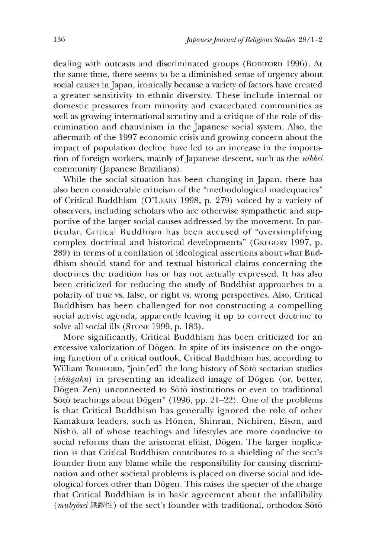dealing with outcasts and discriminated groups (BODIFORD 1996). At the same time, there seems to be a diminished sense of urgency about social causes in Japan, ironically because a variety of factors have created a greater sensitivity to ethnic diversity. These include internal or domestic pressures from minority and exacerbated communities as well as growing international scrutiny and a critique of the role of discrimination and chauvinism in the Japanese social system. Also, the aftermath of the 1997 economic crisis and growing concern about the impact of population decline have led to an increase in the importation of foreign workers, mainly of Japanese descent, such as the *nikkei* community (Japanese Brazilians).

While the social situation has been changing in Japan, there has also been considerable criticism of the "methodological inadequacies" of Critical Buddhism (O'LEARY 1998, p. 279) voiced by a variety of observers, including scholars who are otherwise sympathetic and supportive of the larger social causes addressed by the movement. In particular, Critical Buddhism has been accused of "oversimplifying complex doctrinal and historical developments" (GREGORY 1997, p. 289) in terms of a conflation of ideological assertions about what Buddhism should stand for and textual historical claims concerning the doctrines the tradition has or has not actually expressed. It has also been criticized for reducing the study of Buddhist approaches to a polarity of true vs. false, or right vs. wrong perspectives. Also, Critical Buddhism has been challenged for not constructing a compelling social activist agenda, apparently leaving it up to correct doctrine to solve all social ills (STONE 1999, p. 183).

More significantly, Critical Buddhism has been criticized for an excessive valorization of Dogen. In spite of its insistence on the ongoing function of a critical outlook, critical Buddhism has, according to William BODIFORD, "join[ed] the long history of Soto sectarian studies (*shugaku)* in presenting an idealized image of Dogen (or better, Dogen Zen) unconnected to Soto institutions or even to traditional Sōtō teachings about Dōgen" (1996, pp. 21-22). One of the problems is that Critical Buddhism has generally ignored the role of other Kamakura leaders, such as Hōnen, Shinran, Nichiren, Eison, and Nisho, all of whose teachings and lifestyles are more conducive to social reforms than the aristocrat elitist, Dogen. The larger implication is that critical Buddhism contributes to a shielding of the sect's founder from any blame while the responsibility for causing discrimination and other societal problems is placed on diverse social and ideological forces other than Dogen. This raises the specter of the charge that Critical Buddhism is in basic agreement about the infallibility *(mubydsei* 無謬性) of the sect's founder with traditional, orthodox Soto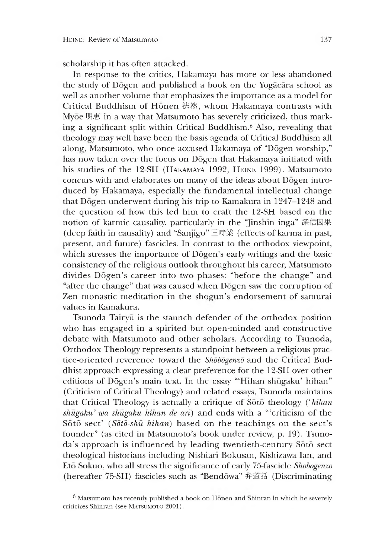scholarship it has often attacked.

In response to the critics, Hakamaya has more or less abandoned the study of Dogen and published a book on the Yogacara school as well as another volume that emphasizes the importance as a model for Critical Buddhism of Honen 法然,whom Hakamaya contrasts with Myōe 明惠 in a way that Matsumoto has severely criticized, thus marking a significant split within Critical Buddhism.6 Also, revealing that theology may well have been the basis agenda of Critical Buddhism all along. Matsumoto, who once accused Hakamaya of "Dōgen worship," has now taken over the focus on Dogen that Hakamaya initiated with his studies of the 12-SH (Hakamaya 1992, Heine 1999). Matsumoto concurs with and elaborates on many of the ideas about Dogen introduced by Hakamaya, especially the fundamental intellectual change that Dogen underwent during his trip to Kamakura in 1247-1248 and the question of how this led him to craft the 12-SH based on the notion of karmic causality, particularly in the "Jinshin inga" 深信因果 (deep faith in causality) and "Sanjigo" 三時業 (effects of karma in past, present, and future) fascicles. In contrast to the orthodox viewpoint, which stresses the importance of Dōgen's early writings and the basic consistency of the religious outlook throughout his career, Matsumoto divides Dogen's career into two phases: "before the change" and "after the change" that was caused when Dogen saw the corruption of Zen monastic meditation in the shogun's endorsement of samurai values in Kamakura.

Tsunoda Tairyū is the staunch defender of the orthodox position who has engaged in a spirited but open-minded and constructive debate with Matsumoto and other scholars. According to Tsunoda, Orthodox Theology represents a standpoint between a religious practice-oriented reverence toward the *Shobogenzo* and the critical Buddhist approach expressing a clear preference for the 12-SH over other editions of Dōgen's main text. In the essay "Hihan shūgaku' hihan" (Criticism of Critical Theology) and related essays, Tsunoda maintains that Critical Theology is actually a critique of Soto theology ('hihan *shugaku*? *wa shugaku hihan de art)* and ends with a "'criticism of the Soto sect' (Soto-shu hihan) based on the teachings on the sect's founder" (as cited in Matsumoto's book under review, p. 19). Tsunoda's approach is influenced by leading twentieth-century Soto sect theological historians including Nishiari Bokusan, Kishizawa Ian, and Eto Sokuo, who all stress the significance of early 75-fascicle *Shobogenzo* (hereafter 75-SH) fascicles such as "Bendowa" 弁道話 (Discriminating

 $6$  Matsumoto has recently published a book on Honen and Shinran in which he severely criticizes Shinran (see MATSUMOTO 2001).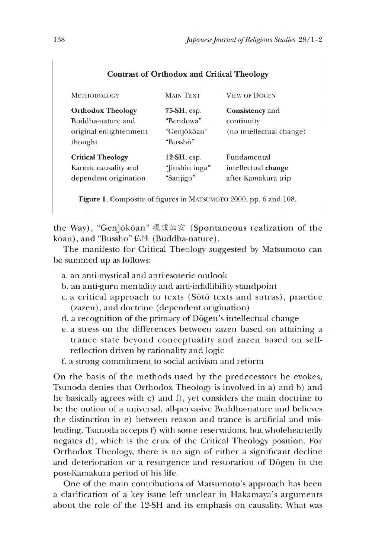|  |  | <b>Contrast of Orthodox and Critical Theology</b> |  |
|--|--|---------------------------------------------------|--|
|--|--|---------------------------------------------------|--|

| <b>METHODOLOGY</b>                                                                 | <b>MAIN TEXT</b>                                     | <b>VIEW OF DOGEN</b>                                             |
|------------------------------------------------------------------------------------|------------------------------------------------------|------------------------------------------------------------------|
| <b>Orthodox Theology</b><br>Buddha-nature and<br>original enlightenment<br>thought | 75-SH, esp.<br>"Bendōwa"<br>"Genjōkōan"<br>"Busshō"  | Consistency and<br>continuity<br>(no intellectual change)        |
| <b>Critical Theology</b><br>Karmic causality and<br>dependent origination          | $12\text{-}SH$ , esp.<br>"[inshin inga"<br>"Sanjigo" | <b>Fundamental</b><br>intellectual change<br>after Kamakura trip |

**Figure 1.** Composite of figures in MATSUMOTO 2000, pp. 6 and 108.

the Way), "Genjōkōan" 現成公安 (Spontaneous realization of the kōan), and "Busshō" 仏性 (Buddha-nature).

The manifesto for Critical Theology suggested by Matsumoto can be summed up as follows:

- a. an anti-mystical and anti-esoteric outlook
- b. an anti-guru mentality and anti-infallibility standpoint
- c. a critical approach to texts ( $S\bar{o}t\bar{o}$  texts and sutras), practice (zazen), and doctrine (dependent origination)
- d. a recognition of the primacy of Dogen's intellectual change
- e. a stress on the differences between zazen based on attaining a trance state beyond conceptuality and zazen based on selfreflection driven by rationality and logic
- f. a strong commitment to social activism and reform

On the basis of the methods used by the predecessors he evokes, Tsunoda denies that Orthodox Theology is involved in a) and b) and he basically agrees with c) and f), yet considers the main doctrine to be the notion of a universal, all-pervasive Buddha-nature and believes the distinction in e) between reason and trance is artificial and misleading. Tsunoda accepts f) with some reservations, but wholeheartedly negates d), which is the crux of the Critical Theology position. For Orthodox Theology, there is no sign of either a significant decline and deterioration or a resurgence and restoration of Dogen in the post-Kamakura period of his life.

One of the main contributions of Matsumoto's approach has been a clarification of a key issue left unclear in Hakamaya's arguments about the role of the 12-SH and its emphasis on causality. What was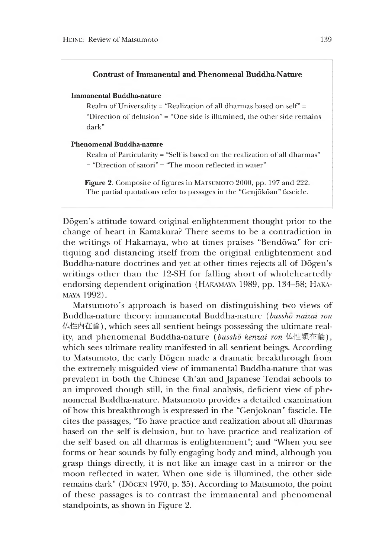## **Contrast of Immanental and Phenomenal Buddha-Nature**

#### **Immanental Buddha-nature**

Realm of Universality = "Realization of all dharmas based on self" = "Direction of delusion" = "One side is illumined, the other side remains dark"

### **Phenomenal Buddha-nature**

Realm of Particularity = "Self is based on the realization of all dharmas"  $=$  "Direction of satori"  $=$  "The moon reflected in water"

**Figure 2.** Composite of figures in MATSUMOTO 2000, pp. 197 and 222. The partial quotations refer to passages in the "Genjōkōan" fascicle.

Dōgen's attitude toward original enlightenment thought prior to the change of heart in Kamakura? There seems to be a contradiction in the writings of Hakamaya, who at times praises "Bendōwa" for critiquing and distancing itself from the original enlightenment and Buddha-nature doctrines and yet at other times rejects all of Dōgen's writings other than the 12-SH for falling short of wholeheartedly endorsing dependent origination (HAKAMAYA 1989, pp. 134-58; HAKAmaya 1992).

Matsumoto's approach is based on distinguishing two views of Buddha-nature theory: immanental Buddha-nature *(bussho naizai ron* 仏性内在論),w hich sees all sentient beings possessing the ultimate reality, and phenomenal Buddha-nature (bussho kenzai ron 仏性顕在論), which sees ultimate reality manifested in all sentient beings. According to Matsumoto, the early Dogen made a dramatic breakthrough from the extremely misguided view of immanental Buddha-nature that was prevalent in both the Chinese Ch'an and Japanese Tendai schools to an improved though still, in the final analysis, deficient view of phenomenal Buddha-nature. Matsumoto provides a detailed examination of how this breakthrough is expressed in the "Genjōkōan" fascicle. He cites the passages,"To have practice and realization about all dharmas based on the self is delusion, but to have practice and realization of the self based on all dharmas is enlightenment"; and "When you see forms or hear sounds by fully engaging body and mind, although you erasp things directly, it is not like an image cast in a mirror or the moon reflected in water. When one side is illumined, the other side remains dark" (DOGEN 1970, p. 35). According to Matsumoto, the point of these passages is to contrast the immanental and phenomenal standpoints, as shown in Figure 2.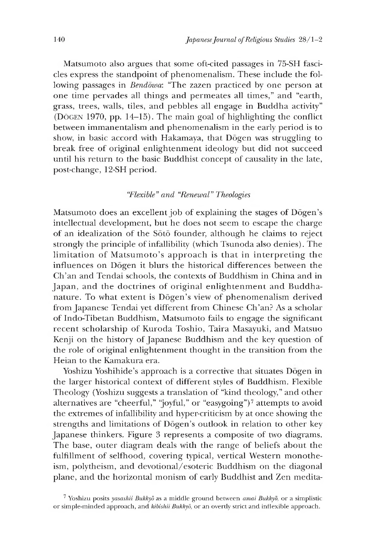Matsumoto also argues that some oft-cited passages in 75-SH fascicles express the standpoint of phenomenalism. These include the following passages in *Bendowa:* "The zazen practiced by one person at one time pervades all things and permeates all times," and "earth, grass, trees, walls, tiles, and pebbles all engage in Buddha activity" (DOGEN 1970, pp. 14-15). The main goal of highlighting the conflict between immanentalism and phenomenalism in the early period is to show, in basic accord with Hakamaya, that Dogen was struggling to break free of original enlightenment ideology but did not succeed until his return to the basic Buddhist concept of causality in the late, post-change, 12-SH period.

## *"Flexible" and "Renewal" Theologies*

Matsumoto does an excellent job of explaining the stages of Dōgen's intellectual development, but he does not seem to escape the charge of an idealization of the Soto founder, although he claims to reject strongly the principle of infallibility (which Tsunoda also denies). The limitation of Matsumoto's approach is that in interpreting the influences on Dogen it blurs the historical differences between the Ch'an and Tendai schools, the contexts of Buddhism in China and in Japan, and the doctrines of original enlightenment and Buddhanature. To what extent is Dōgen's view of phenomenalism derived from Japanese Tendai yet different from Chinese Ch'an? As a scholar of Indo-Tibetan Buddhism, Matsumoto fails to engage the significant recent scholarship of Kuroda Toshio, Taira Masayuki, and Matsuo Kenji on the history of Japanese Buddhism and the key question of the role of original enlightenment thought in the transition from the Heian to the Kamakura era.

Yoshizu Yoshihide's approach is a corrective that situates Dōgen in the larger historical context of different styles of Buddhism. Flexible Theology (Yoshizu suggests a translation of "kind theology," and other alternatives are "cheerful," "joyful," or "easygoing")<sup>7</sup> attempts to avoid the extremes of infallibility and hyper-criticism by at once showing the strengths and limitations of D6gen's outlook in relation to other key Japanese thinkers. Figure 3 represents a composite of two diagrams. The base, outer diagram deals with the range of beliefs about the fulfillment of selfhood, covering typical, vertical Western monotheism, polytheism, and devotional/esoteric Buddhism on the diagonal plane, and the horizontal monism of early Buddhist and Zen medita-

<sup>7</sup> Yoshizu posits *yasashii Bukkyd* as a middle ground between *amai Bukkyd,* or a simplistic or simple-minded approach, and *kibishii Bukkyd,* or an overtly strict and inflexible approach.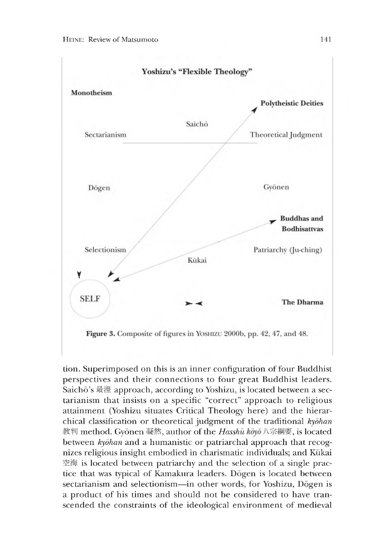

tion. Superimposed on this is an inner configuration of four Buddhist perspectives and their connections to four great Buddhist leaders. Saichō's 最澄 approach, according to Yoshizu, is located between a sectarianism that insists on a specific "correct" approach to religious attainment (Yoshizu situates Critical Iheology here) and the hierarchical classification or theoretical judgment of the traditional *kydhan* 教判 method. Gyonen 凝然, author of the *Hasshu koyo* 八宗綱要, is located between *kyōhan* and a humanistic or patriarchal approach that recognizes religious insight embodied in charismatic individuals; and Kukai 空海 is located between patriarchy and the selection of a single practice that was typical of Kamakura leaders. Dogen is located between sectarianism and selectionism—in other words, for Yoshizu, Dogen is a product of his times and should not be considered to have transcended the constraints of the ideological environment of medieval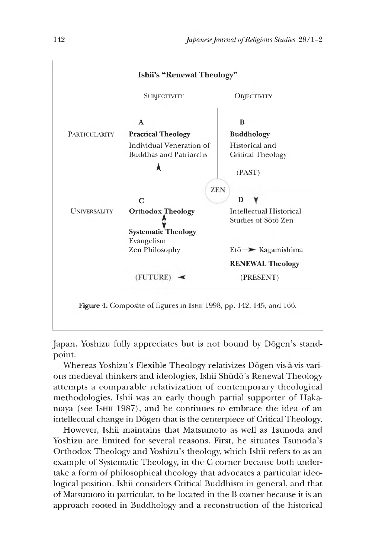

Japan. Yoshizu fully appreciates but is not bound by Dōgen's standpoint.

Whereas Yoshizu's Flexible Theology relativizes Dogen vis-a-vis various medieval thinkers and ideologies, Ishii Shudo's Renewal Theology attempts a comparable relativization of contemporary theological methodologies. Ishii was an early though partial supporter of Hakamaya (see IsHII 1987), and he continues to embrace the idea of an intellectual change in Dogen that is the centerpiece of Critical Theology.

However, Ishii maintains that Matsumoto as well as Tsunoda and Yoshizu are limited for several reasons. First, he situates Tsunoda's Orthodox Theology and Yoshizu's theology, which Ishii refers to as an example of Systematic Theology, in the C corner because both undertake a form of philosophical theology that advocates a particular ideological position. Ishii considers Critical Buddhism in general, and that of Matsumoto in particular, to be located in the B corner because it is an approach rooted in Buddhology and a reconstruction of the historical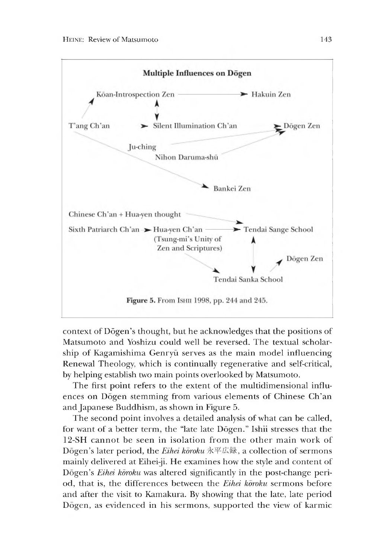

context of D6gen's thought, but he acknowledges that the positions of Matsumoto and Yoshizu could well be reversed. The textual scholarship of Kagamishima Genryū serves as the main model influencing Renewal Theology, which is continually regenerative and self-critical, by helping establish two main points overlooked by Matsumoto.

The first point refers to the extent of the multidimensional influences on Dogen stemming from various elements of Chinese Ch'an and Japanese Buddhism, as shown in Figure 5.

The second point involves a detailed analysis of what can be called, for want of a better term, the "late late Dōgen." Ishii stresses that the 12-SH cannot be seen in isolation from the other main work of Dōgen's later period, the *Eihei koroku* 永平広録, a collection of sermons mainly delivered at Eihei-ji. He examines how the style and content of Dōgen's *Eihei kōroku* was altered significantly in the post-change period, that is, the differences between the *Eihei koroku* sermons before and after the visit to Kamakura. By showing that the late, late period Dogen, as evidenced in his sermons, supported the view of karmic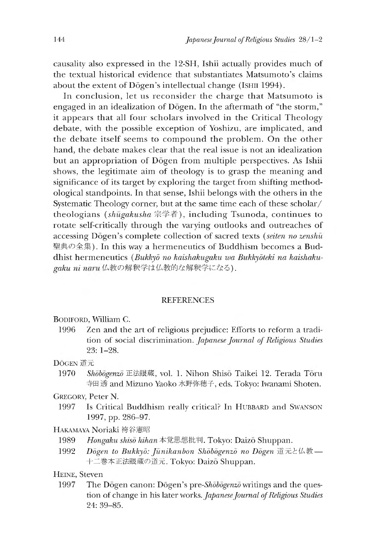causality also expressed in the 12-SH, Ishii actually provides much of the textual historical evidence that substantiates Matsumoto's claims about the extent of Dōgen's intellectual change (Ishii 1994).

In conclusion, let us reconsider the charge that Matsumoto is engaged in an idealization of Dogen. In the aftermath of "the storm," it appears that all four scholars involved in the Critical Theology debate, with the possible exception of Yoshizu, are implicated, and the debate itself seems to compound the problem. On the other hand, the debate makes clear that the real issue is not an idealization but an appropriation of Dogen from multiple perspectives. As Ishii shows, the legitimate aim of theology is to grasp the meaning and significance of its target by exploring the target from shifting methodological standpoints. In that sense, Ishii belongs with the others in the Systematic Theology corner, but at the same time each of these scholar/ theologians *(shugakusha* 宗学者), including Tsunoda, continues to rotate self-critically through the varying outlooks and outreaches of accessing *Dozen's* complete collection of sacred texts *(seiten no zenshu* 聖典の全集). In this way a hermeneutics of Buddhism becomes a Buddhist hermeneutics *(Bukkyd no kaishakugaku wa Bukkydteki na kaishaku*gaku ni naru 仏教の解釈学は仏教的な解釈学になる).

### REFERENCES

Bodiford, William C.

1996 Zen and the art of religious prejudice: Efforts to reform a tradition of social discrimination. *Japanese Journal of Religious Studies* 23:1-28'

DŌGEN 道元

1970 *Shōbōgenzō* 正法眼蔵, vol. 1. Nihon Shisō Taikei 12. Terada Tōru 寺田透 and Mizuno Yaoko 水野弥穂子,eds. Tokyo: Iwanami Shoten.

Gregory, Peter N.

1997 Is Critical Buddhism really critical? In HUBBARD and SWANSON 1997, pp. 286–97.

Hakamaya Noriaki 袴谷憲昭

- 1989 *Hongaku shiso hihan* 本覚思想批判. Tokyo: Daizo Shuppan.
- 1992 *Dogen to Bukkyd: Junikanbon Shobogenzo no Dogen* 道元と仏教— 十二卷本正法眼蔵の道元. Tokyo: Daizo Shuppan.

HEINE, Steven

1997 The Dogen canon: D6gen's *pre-Shobogenzo* writings and the question of change in his later works. *Japanese Journal of Religious Studies* 24: 39-85. '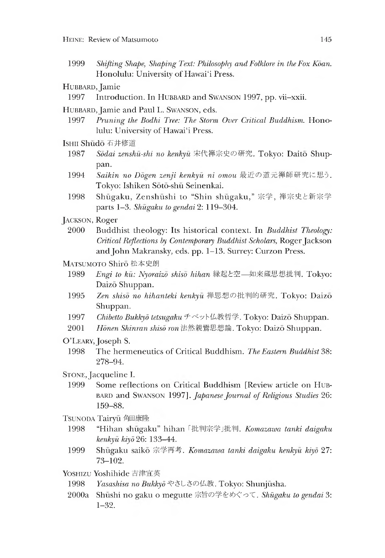1999 *Shifting Shape, Shaping Text: Philosophy and Folklore in the Fox Koan.* Honolulu: University of Hawai'i Press.

HUBBARD, Jamie

1997 Introduction. In HUBBARD and SWANSON 1997, pp. vii-xxii.

HUBBARD, Jamie and Paul L. SWANSON, eds.

- 1997 *Pruning the Bodhi Tree: The Storm Over Critical Buddhism.* Honolulu: University of Hawai'i Press.
- Ishii Shudo 石井修道
	- 1987 *Sodai zenshu-shi no kenkyu* 宋代禅宗史の研究. Tokyo: Daito Shuppan.
	- 1994 *Saikin no Dogen zenji kenkyu ni omou*最近の道元禅師研究に思う. Tokyo: Ishiken Soto-shu Seinenkai.
	- 1998 Shūgaku, Zenshūshi to "Shin shūgaku," 宗学, 禅宗史と新宗学 parts 1-3. *Shugaku to gendai* 2:119-304.
- Jackson, Roger
- 2000 Buddhist theology: Its historical context. In *Buddhist Theology: Critical Reflections by Contemporary Buddhist Scholars,* Roger Jackson and John Makransky, eds. pp. 1-13. Surrey: Curzon Press.
- MATSUMOTO Shiro 松本史朗
	- 1989 *Engi to kū: Nyoraizo shiso hihan* 縁起と空—如来蔵思想批判. Tokyo: Daizo Shuppan.
	- 1995 *Zen shiso no hihanteki kenkyu* 禅思想の批判的研究. Tokyo: Daizo Shuppan.
	- 1997 *Chibetto Bukkyō tetsugaku チベット仏教哲学. Tokyo: Daizō Shuppan.*
	- 2001 *Honen Shinran shiso ron* 法然親鸞思想論. Tokyo: Daizo Shuppan.
- O'LEARY, Joseph S.
	- 1998 The hermeneutics of Critical Buddhism. *The Eastern Buddhist* 38: 278-94.
- Stone, Jacqueline I.
	- 1999 Some reflections on critical Buddhism [Review article on Hubbard and Swanson 1997]. *Japanese Journal of Religious Studies* 26: 159-88.

TSUNODA Tairyū 角田康隆

- 1998 "Hihan shūgaku" hihan 「批判宗学」批判. Komazawa tanki daigaku *kenkyu kiyd* 26:133-44.
- 1999 Shugaku saiko 宗学再考*. Komazawa tanki daigaku kenkyu kiyd* 27: 73-102.

Yoshizu Yoshihide 吉津宜英

- 1998 *Yasashisa no Bukkyd* やさしさの仏教. Tokyo: Shunjusha.
- **2000a** Shūshi no gaku o megutte 宗旨の学をめぐって. Shūgaku to gendai 3: 1-32.